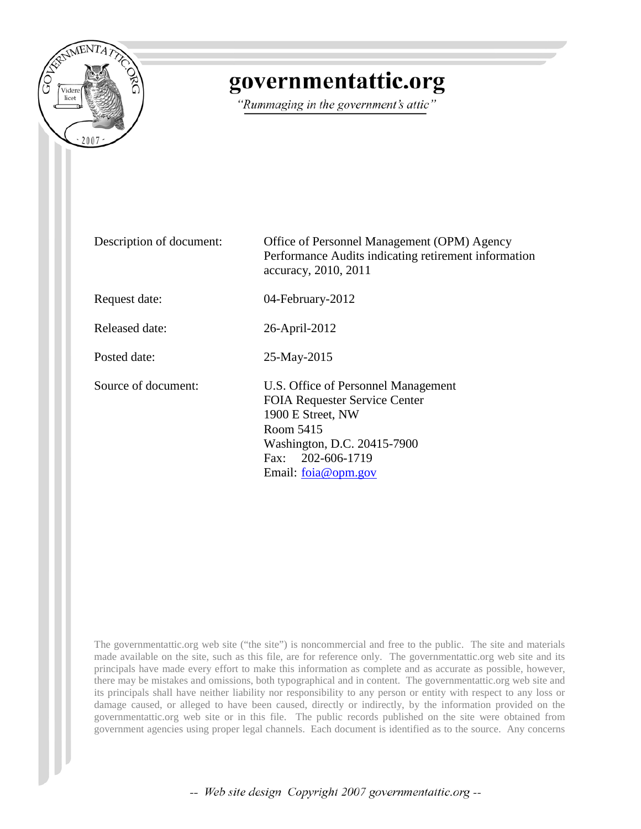

## governmentattic.org

"Rummaging in the government's attic"

Description of document: Office of Personnel Management (OPM) Agency Performance Audits indicating retirement information accuracy, 2010, 2011 Request date: 04-February-2012 Released date: 26-April-2012 Posted date: 25-May-2015 Source of document: U.S. Office of Personnel Management FOIA Requester Service Center 1900 E Street, NW Room 5415 Washington, D.C. 20415-7900 Fax: 202-606-1719 Email: [foia@opm.gov](mailto:foia@opm.gov?subject=FOIA%20Request)

The governmentattic.org web site ("the site") is noncommercial and free to the public. The site and materials made available on the site, such as this file, are for reference only. The governmentattic.org web site and its principals have made every effort to make this information as complete and as accurate as possible, however, there may be mistakes and omissions, both typographical and in content. The governmentattic.org web site and its principals shall have neither liability nor responsibility to any person or entity with respect to any loss or damage caused, or alleged to have been caused, directly or indirectly, by the information provided on the governmentattic.org web site or in this file. The public records published on the site were obtained from government agencies using proper legal channels. Each document is identified as to the source. Any concerns

-- Web site design Copyright 2007 governmentattic.org --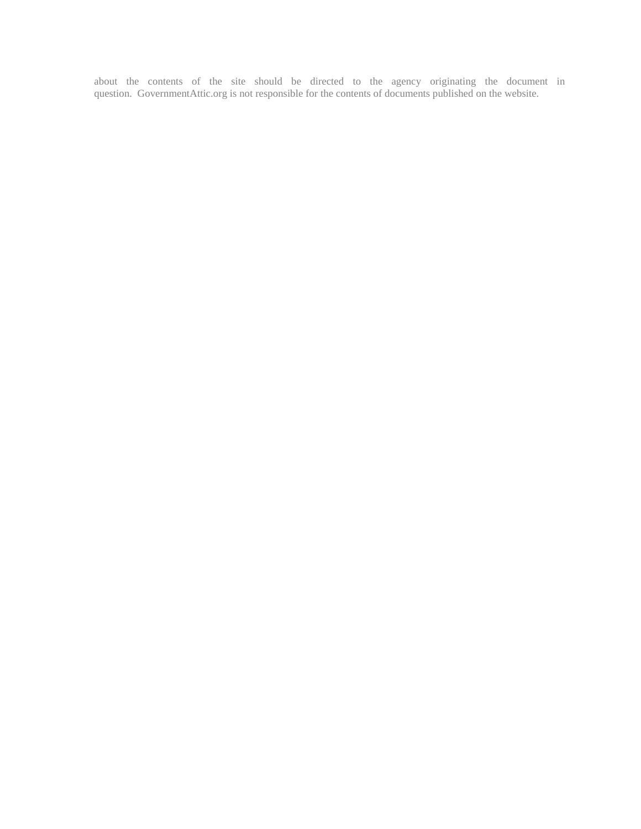about the contents of the site should be directed to the agency originating the document in question. GovernmentAttic.org is not responsible for the contents of documents published on the website.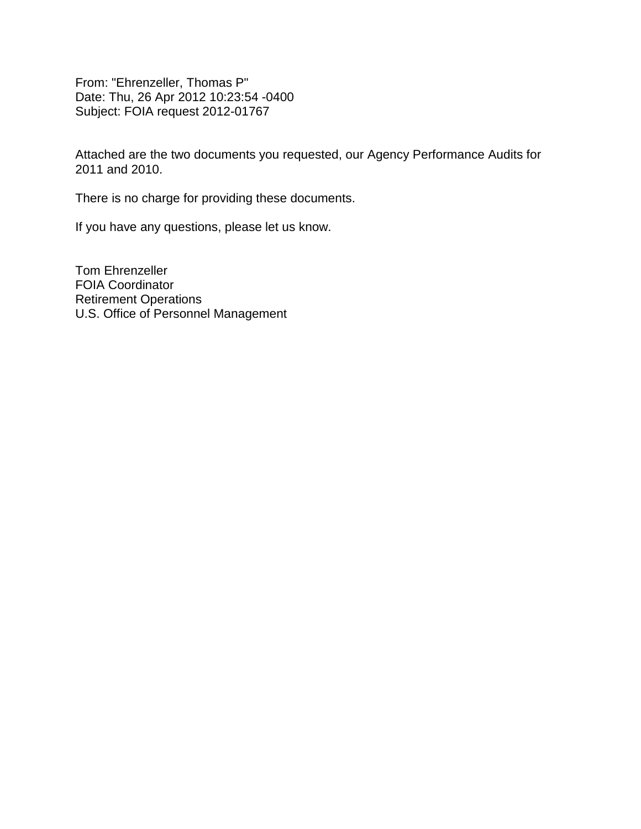From: "Ehrenzeller, Thomas P" Date: Thu, 26 Apr 2012 10:23:54 -0400 Subject: FOIA request 2012-01767

Attached are the two documents you requested, our Agency Performance Audits for 2011 and 2010.

There is no charge for providing these documents.

If you have any questions, please let us know.

Tom Ehrenzeller FOIA Coordinator Retirement Operations U.S. Office of Personnel Management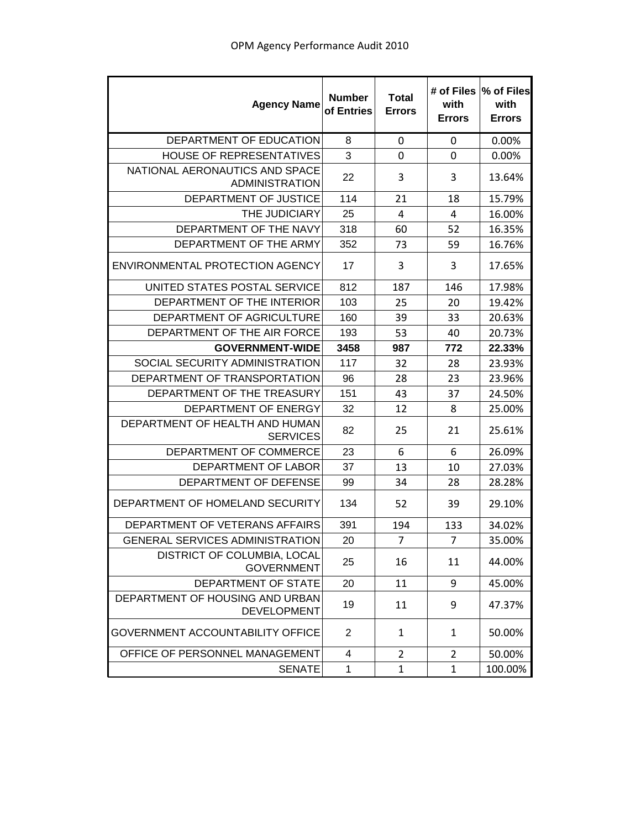| <b>Agency Name</b>                                      | <b>Number</b><br>of Entries | <b>Total</b><br><b>Errors</b> | # of Files<br>with<br><b>Errors</b> | % of Files<br>with<br><b>Errors</b> |
|---------------------------------------------------------|-----------------------------|-------------------------------|-------------------------------------|-------------------------------------|
| DEPARTMENT OF EDUCATION                                 | 8                           | 0                             | 0                                   | 0.00%                               |
| HOUSE OF REPRESENTATIVES                                | 3                           | 0                             | $\mathbf 0$                         | 0.00%                               |
| NATIONAL AERONAUTICS AND SPACE<br><b>ADMINISTRATION</b> | 22                          | 3                             | 3                                   | 13.64%                              |
| DEPARTMENT OF JUSTICE                                   | 114                         | 21                            | 18                                  | 15.79%                              |
| THE JUDICIARY                                           | 25                          | 4                             | 4                                   | 16.00%                              |
| DEPARTMENT OF THE NAVY                                  | 318                         | 60                            | 52                                  | 16.35%                              |
| DEPARTMENT OF THE ARMY                                  | 352                         | 73                            | 59                                  | 16.76%                              |
| ENVIRONMENTAL PROTECTION AGENCY                         | 17                          | 3                             | 3                                   | 17.65%                              |
| UNITED STATES POSTAL SERVICE                            | 812                         | 187                           | 146                                 | 17.98%                              |
| DEPARTMENT OF THE INTERIOR                              | 103                         | 25                            | 20                                  | 19.42%                              |
| DEPARTMENT OF AGRICULTURE                               | 160                         | 39                            | 33                                  | 20.63%                              |
| DEPARTMENT OF THE AIR FORCE                             | 193                         | 53                            | 40                                  | 20.73%                              |
| <b>GOVERNMENT-WIDE</b>                                  | 3458                        | 987                           | 772                                 | 22.33%                              |
| SOCIAL SECURITY ADMINISTRATION                          | 117                         | 32                            | 28                                  | 23.93%                              |
| DEPARTMENT OF TRANSPORTATION                            | 96                          | 28                            | 23                                  | 23.96%                              |
| DEPARTMENT OF THE TREASURY                              | 151                         | 43                            | 37                                  | 24.50%                              |
| DEPARTMENT OF ENERGY                                    | 32                          | 12                            | 8                                   | 25.00%                              |
| DEPARTMENT OF HEALTH AND HUMAN<br><b>SERVICES</b>       | 82                          | 25                            | 21                                  | 25.61%                              |
| DEPARTMENT OF COMMERCE                                  | 23                          | 6                             | 6                                   | 26.09%                              |
| DEPARTMENT OF LABOR                                     | 37                          | 13                            | 10                                  | 27.03%                              |
| DEPARTMENT OF DEFENSE                                   | 99                          | 34                            | 28                                  | 28.28%                              |
| DEPARTMENT OF HOMELAND SECURITY                         | 134                         | 52                            | 39                                  | 29.10%                              |
| DEPARTMENT OF VETERANS AFFAIRS                          | 391                         | 194                           | 133                                 | 34.02%                              |
| <b>GENERAL SERVICES ADMINISTRATION</b>                  | 20                          | $\overline{7}$                | $\overline{7}$                      | 35.00%                              |
| DISTRICT OF COLUMBIA, LOCAL<br><b>GOVERNMENT</b>        | 25                          | 16                            | 11                                  | 44.00%                              |
| DEPARTMENT OF STATE                                     | 20                          | 11                            | 9                                   | 45.00%                              |
| DEPARTMENT OF HOUSING AND URBAN<br><b>DEVELOPMENT</b>   | 19                          | 11                            | 9                                   | 47.37%                              |
| <b>GOVERNMENT ACCOUNTABILITY OFFICE</b>                 | 2                           | 1                             | 1                                   | 50.00%                              |
| OFFICE OF PERSONNEL MANAGEMENT                          | 4                           | $\overline{2}$                | $\overline{2}$                      | 50.00%                              |
| <b>SENATE</b>                                           | 1                           | 1                             | 1                                   | 100.00%                             |